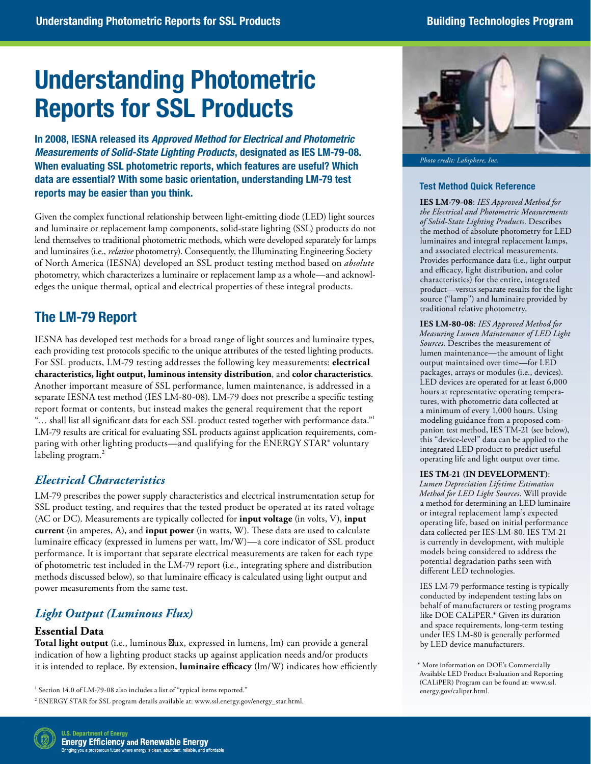# **Understanding Photometric Reports for SSL Products**

In 2008, IESNA released its *Approved Method for Electrical and Photometric Measurements of Solid-State Lighting Products*, designated as IES LM-79-08. When evaluating SSL photometric reports, which features are useful? Which data are essential? With some basic orientation, understanding LM-79 test reports may be easier than you think.

 Given the complex functional relationship between light-emitting diode (LED) light sources lend themselves to traditional photometric methods, which were developed separately for lamps and luminaires (i.e., *relative* photometry). Consequently, the Illuminating Engineering Society of North America (IESNA) developed an SSL product testing method based on *absolute*  photometry, which characterizes a luminaire or replacement lamp as a whole—and acknowland luminaire or replacement lamp components, solid-state lighting (SSL) products do not edges the unique thermal, optical and electrical properties of these integral products.

# The LM-79 Report

 each providing test protocols specific to the unique attributes of the tested lighting products. For SSL products, LM-79 testing addresses the following key measurements: **electrical characteristics, light output, luminous intensity distribution**, and **color characteristics**. Another important measure of SSL performance, lumen maintenance, is addressed in a report format or contents, but instead makes the general requirement that the report "... shall list all significant data for each SSL product tested together with performance data."<sup>1</sup> LM-79 results are critical for evaluating SSL products against application requirements, com-IESNA has developed test methods for a broad range of light sources and luminaire types, separate IESNA test method (IES LM-80-08). LM-79 does not prescribe a specific testing paring with other lighting products—and qualifying for the ENERGY STAR® voluntary labeling program.<sup>2</sup>

# *Electrical Characteristics*

 SSL product testing, and requires that the tested product be operated at its rated voltage LM-79 prescribes the power supply characteristics and electrical instrumentation setup for (AC or DC). Measurements are typically collected for **input voltage** (in volts, V), **input current** (in amperes, A), and **input power** (in watts, W). These data are used to calculate luminaire efficacy (expressed in lumens per watt, lm/W)—a core indicator of SSL product performance. It is important that separate electrical measurements are taken for each type of photometric test included in the LM-79 report (i.e., integrating sphere and distribution methods discussed below), so that luminaire efficacy is calculated using light output and power measurements from the same test.

# *Light Output (Luminous Flux)*

# **Essential Data**

**Total light output** (i.e., luminous f ux, expressed in lumens, lm) can provide a general indication of how a lighting product stacks up against application needs and/or products it is intended to replace. By extension, **luminaire efficacy** (lm/W) indicates how efficiently



*Photo credit: Labsphere, Inc.* 

## **Test Method Quick Reference**

 and associated electrical measurements. and efficacy, light distribution, and color characteristics) for the entire, integrated **IES LM-79-08**: *IES Approved Method for the Electrical and Photometric Measurements of Solid-State Lighting Products*. Describes the method of absolute photometry for LED luminaires and integral replacement lamps, Provides performance data (i.e., light output product—versus separate results for the light source ("lamp") and luminaire provided by traditional relative photometry.

 panion test method, IES TM-21 (see below), this "device-level" data can be applied to the **IES LM-80-08**: *IES Approved Method for Measuring Lumen Maintenance of LED Light Sources*. Describes the measurement of lumen maintenance—the amount of light output maintained over time—for LED packages, arrays or modules (i.e., devices). LED devices are operated for at least 6,000 hours at representative operating temperatures, with photometric data collected at a minimum of every 1,000 hours. Using modeling guidance from a proposed comintegrated LED product to predict useful operating life and light output over time.

#### **IES TM-21 (IN DEVELOPMENT)**:

 a method for determining an LED luminaire or integral replacement lamp's expected models being considered to address the potential degradation paths seen with *Lumen Depreciation Lifetime Estimation Method for LED Light Sources*. Will provide operating life, based on initial performance data collected per IES-LM-80. IES TM-21 is currently in development, with multiple different LED technologies.

IES LM-79 performance testing is typically conducted by independent testing labs on behalf of manufacturers or testing programs like DOE CALiPER.\* Given its duration and space requirements, long-term testing under IES LM-80 is generally performed by LED device manufacturers.



<sup>&</sup>lt;sup>1</sup> Section 14.0 of LM-79-08 also includes a list of "typical items reported."

<sup>&</sup>lt;sup>2</sup> ENERGY STAR for SSL program details available at: www.ssl.energy.gov/energy\_star.html.

 \* More information on DOE's Commercially Available LED Product Evaluation and Reporting (CALiPER) Program can be found at: www.ssl. energy.gov/caliper.html.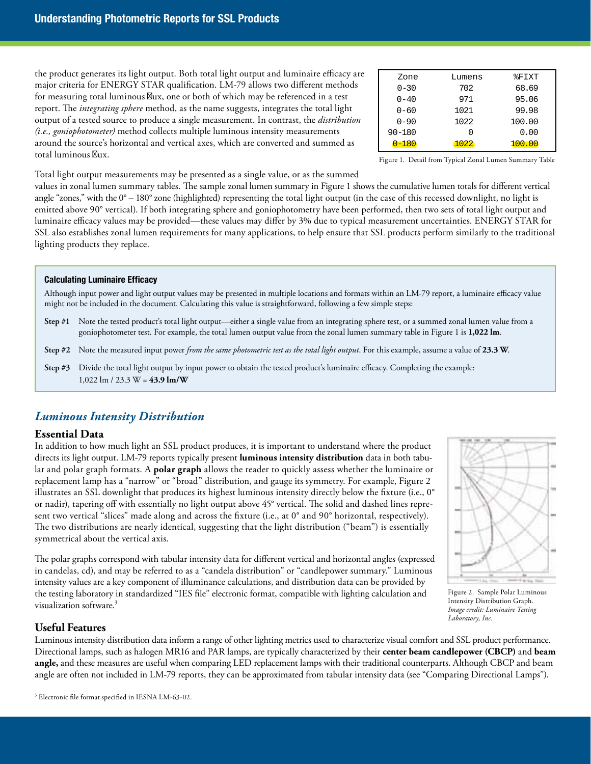the product generates its light output. Both total light output and luminaire efficacy are major criteria for ENERGY STAR qualification. LM-79 allows two different methods for measuring total luminous  $f$  ux, one or both of which may be referenced in a test report. The *integrating sphere* method, as the name suggests, integrates the total light output of a tested source to produce a single measurement. In contrast, the *distribution (i.e., goniophotometer)* method collects multiple luminous intensity measurements around the source's horizontal and vertical axes, which are converted and summed as total luminous f ux.

| Zone       | Lumens | %FIXT  |
|------------|--------|--------|
| $0 - 30$   | 702    | 68.69  |
| $0 - 40$   | 971    | 95.06  |
| $0 - 60$   | 1021   | 99.98  |
| $0 - 90$   | 1022   | 100.00 |
| $90 - 180$ | Ω      | 0.00   |
| $0 - 180$  | 1022   | 100.00 |

Figure 1. Detail from Typical Zonal Lumen Summary Table

Total light output measurements may be presented as a single value, or as the summed

 values in zonal lumen summary tables. The sample zonal lumen summary in Figure 1 shows the cumulative lumen totals for different vertical angle "zones," with the 0° – 180° zone (highlighted) representing the total light output (in the case of this recessed downlight, no light is emitted above 90° vertical). If both integrating sphere and goniophotometry have been performed, then two sets of total light output and luminaire efficacy values may be provided—these values may differ by 3% due to typical measurement uncertainties. ENERGY STAR for SSL also establishes zonal lumen requirements for many applications, to help ensure that SSL products perform similarly to the traditional lighting products they replace.

#### **Calculating Luminaire Efficacy**

 Although input power and light output values may be presented in multiple locations and formats within an LM-79 report, a luminaire efficacy value might not be included in the document. Calculating this value is straightforward, following a few simple steps:

- **Step #1** Note the tested product's total light output—either a single value from an integrating sphere test, or a summed zonal lumen value from a goniophotometer test. For example, the total lumen output value from the zonal lumen summary table in Figure 1 is **1,022 lm**.
- **Step #2** Note the measured input power *from the same photometric test as the total light output*. For this example, assume a value of **23.3 W**.
- **Step #3** Divide the total light output by input power to obtain the tested product's luminaire efficacy. Completing the example: 1,022 lm / 23.3 W = **43.9 lm/W**

# *Luminous Intensity Distribution*

## **Essential Data**

 directs its light output. LM-79 reports typically present **luminous intensity distribution** data in both tabu- lar and polar graph formats. A **polar graph** allows the reader to quickly assess whether the luminaire or sent two vertical "slices" made along and across the fixture (i.e., at 0° and 90° horizontal, respectively). The two distributions are nearly identical, suggesting that the light distribution ("beam") is essentially In addition to how much light an SSL product produces, it is important to understand where the product replacement lamp has a "narrow" or "broad" distribution, and gauge its symmetry. For example, Figure 2 illustrates an SSL downlight that produces its highest luminous intensity directly below the fixture (i.e., 0° or nadir), tapering off with essentially no light output above 45° vertical. The solid and dashed lines represymmetrical about the vertical axis.



 The polar graphs correspond with tabular intensity data for different vertical and horizontal angles (expressed intensity values are a key component of illuminance calculations, and distribution data can be provided by the testing laboratory in standardized "IES file" electronic format, compatible with lighting calculation and visualization software.<sup>3</sup> in candelas, cd), and may be referred to as a "candela distribution" or "candlepower summary." Luminous

Figure 2. Sample Polar Luminous Intensity Distribution Graph. *Image credit: Luminaire Testing Laboratory, Inc.* 

## **Useful Features**

 Luminous intensity distribution data inform a range of other lighting metrics used to characterize visual comfort and SSL product performance. Directional lamps, such as halogen MR16 and PAR lamps, are typically characterized by their **center beam candlepower (CBCP)** and **beam angle,** and these measures are useful when comparing LED replacement lamps with their traditional counterparts. Although CBCP and beam angle are often not included in LM-79 reports, they can be approximated from tabular intensity data (see "Comparing Directional Lamps").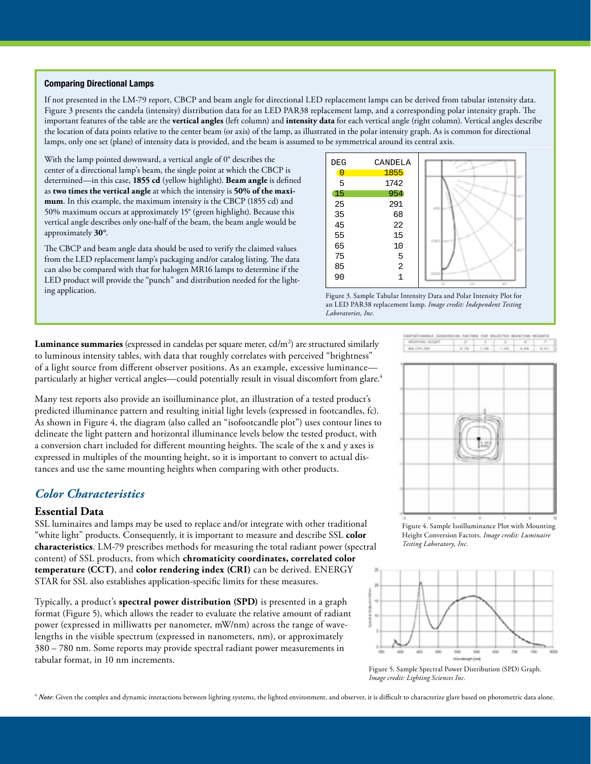#### **Comparing Directional Lamps**

If not presented in the LM-79 report, CBCP and beam angle for directional LED replacement lamps can be derived from tabular intensity data. Figure 3 presents the candela (intensity) distribution data for an LED PAR38 replacement lamp, and a corresponding polar intensity graph. The important features of the table are the **vertical angles** (left column) and **intensity data** for each vertical angle (right column). Vertical angles describe the location of data points relative to the center beam (or axis) of the lamp, as illustrated in the polar intensity graph. As is common for directional lamps, only one set (plane) of intensity data is provided, and the beam is assumed to be symmetrical around its central axis.

With the lamp pointed downward, a vertical angle of 0° describes the center of a directional lamp's beam, the single point at which the CBCP is determined—in this case, **1855 cd** (yellow highlight). **Beam angle** is defined as **two times the vertical angle** at which the intensity is **50% of the maximum**. In this example, the maximum intensity is the CBCP (1855 cd) and 50% maximum occurs at approximately 15° (green highlight). Because this vertical angle describes only one-half of the beam, the beam angle would be approximately **30°**.

The CBCP and beam angle data should be used to verify the claimed values from the LED replacement lamp's packaging and/or catalog listing. The data can also be compared with that for halogen MR16 lamps to determine if the LED product will provide the "punch" and distribution needed for the lighting application. Figure 3. Sample Tabular Intensity Data and Polar Intensity Plot for



an LED PAR38 replacement lamp. *Image credit: Independent Testing Laboratories, Inc.* 

**Luminance summaries** (expressed in candelas per square meter, cd/m<sup>2</sup>) are structured similarly to luminous intensity tables, with data that roughly correlates with perceived "brightness" of a light source from different observer positions. As an example, excessive luminance particularly at higher vertical angles—could potentially result in visual discomfort from glare.<sup>4</sup>

Many test reports also provide an isoilluminance plot, an illustration of a tested product's predicted illuminance pattern and resulting initial light levels (expressed in footcandles, fc). As shown in Figure 4, the diagram (also called an "isofootcandle plot") uses contour lines to delineate the light pattern and horizontal illuminance levels below the tested product, with a conversion chart included for different mounting heights. The scale of the x and y axes is expressed in multiples of the mounting height, so it is important to convert to actual distances and use the same mounting heights when comparing with other products.

# *Color Characteristics*

### **Essential Data**

SSL luminaires and lamps may be used to replace and/or integrate with other traditional "white light" products. Consequently, it is important to measure and describe SSL **color characteristics**. LM-79 prescribes methods for measuring the total radiant power (spectral content) of SSL products, from which **chromaticity coordinates, correlated color temperature (CCT)**, and **color rendering index (CRI)** can be derived. ENERGY STAR for SSL also establishes application-specific limits for these measures.

Typically, a product's **spectral power distribution (SPD)** is presented in a graph format (Figure 5), which allows the reader to evaluate the relative amount of radiant power (expressed in milliwatts per nanometer, mW/nm) across the range of wavelengths in the visible spectrum (expressed in nanometers, nm), or approximately 380 – 780 nm. Some reports may provide spectral radiant power measurements in tabular format, in 10 nm increments.



Figure 4. Sample Isoilluminance Plot with Mounting Height Conversion Factors. *Image credit: Luminaire Testing Laboratory, Inc.* 



Figure 5. Sample Spectral Power Distribution (SPD) Graph. *Image credit: Lighting Sciences Inc.* 

<sup>4</sup> Note: Given the complex and dynamic interactions between lighting systems, the lighted environment, and observer, it is difficult to characterize glare based on photometric data alone.